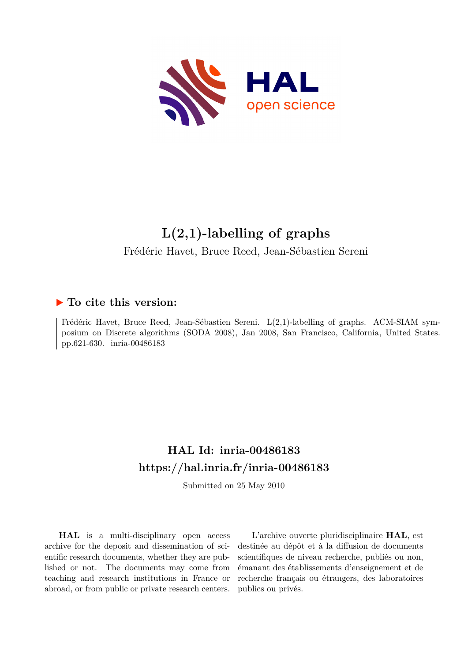

# **L(2,1)-labelling of graphs**

Frédéric Havet, Bruce Reed, Jean-Sébastien Sereni

# **To cite this version:**

Frédéric Havet, Bruce Reed, Jean-Sébastien Sereni. L(2,1)-labelling of graphs. ACM-SIAM symposium on Discrete algorithms (SODA 2008), Jan 2008, San Francisco, California, United States. pp.621-630. inria-00486183

# **HAL Id: inria-00486183 <https://hal.inria.fr/inria-00486183>**

Submitted on 25 May 2010

**HAL** is a multi-disciplinary open access archive for the deposit and dissemination of scientific research documents, whether they are published or not. The documents may come from teaching and research institutions in France or abroad, or from public or private research centers.

L'archive ouverte pluridisciplinaire **HAL**, est destinée au dépôt et à la diffusion de documents scientifiques de niveau recherche, publiés ou non, émanant des établissements d'enseignement et de recherche français ou étrangers, des laboratoires publics ou privés.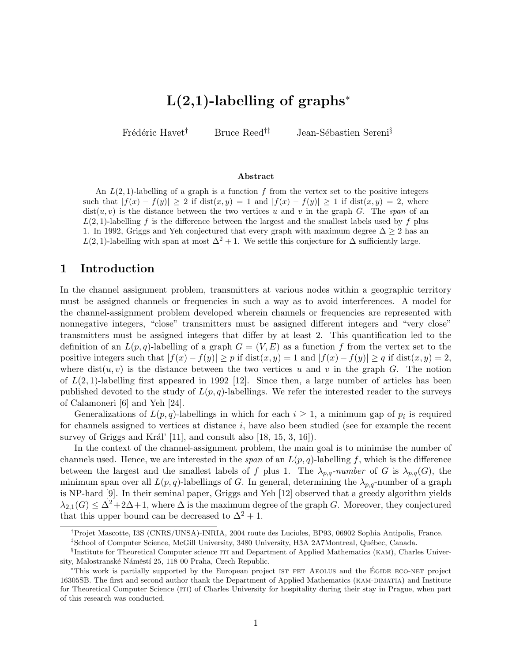# $L(2,1)$ -labelling of graphs<sup>\*</sup>

Frédéric Havet<sup>†</sup> Bruce Reed<sup>†‡</sup> Jean-Sébastien Sereni<sup>§</sup>

### Abstract

An  $L(2, 1)$ -labelling of a graph is a function f from the vertex set to the positive integers such that  $|f(x) - f(y)| \ge 2$  if dist $(x, y) = 1$  and  $|f(x) - f(y)| \ge 1$  if dist $(x, y) = 2$ , where  $dist(u, v)$  is the distance between the two vertices u and v in the graph G. The span of an  $L(2, 1)$ -labelling f is the difference between the largest and the smallest labels used by f plus 1. In 1992, Griggs and Yeh conjectured that every graph with maximum degree  $\Delta > 2$  has an  $L(2, 1)$ -labelling with span at most  $\Delta^2 + 1$ . We settle this conjecture for  $\Delta$  sufficiently large.

### 1 Introduction

In the channel assignment problem, transmitters at various nodes within a geographic territory must be assigned channels or frequencies in such a way as to avoid interferences. A model for the channel-assignment problem developed wherein channels or frequencies are represented with nonnegative integers, "close" transmitters must be assigned different integers and "very close" transmitters must be assigned integers that differ by at least 2. This quantification led to the definition of an  $L(p,q)$ -labelling of a graph  $G = (V, E)$  as a function f from the vertex set to the positive integers such that  $|f(x) - f(y)| \ge p$  if  $dist(x, y) = 1$  and  $|f(x) - f(y)| \ge q$  if  $dist(x, y) = 2$ , where  $dist(u, v)$  is the distance between the two vertices u and v in the graph G. The notion of  $L(2, 1)$ -labelling first appeared in 1992 [12]. Since then, a large number of articles has been published devoted to the study of  $L(p,q)$ -labellings. We refer the interested reader to the surveys of Calamoneri [6] and Yeh [24].

Generalizations of  $L(p, q)$ -labellings in which for each  $i \geq 1$ , a minimum gap of  $p_i$  is required for channels assigned to vertices at distance i, have also been studied (see for example the recent survey of Griggs and Král' [11], and consult also  $[18, 15, 3, 16]$ .

In the context of the channel-assignment problem, the main goal is to minimise the number of channels used. Hence, we are interested in the span of an  $L(p, q)$ -labelling f, which is the difference between the largest and the smallest labels of f plus 1. The  $\lambda_{p,q}$ -number of G is  $\lambda_{p,q}(G)$ , the minimum span over all  $L(p, q)$ -labellings of G. In general, determining the  $\lambda_{p,q}$ -number of a graph is NP-hard [9]. In their seminal paper, Griggs and Yeh [12] observed that a greedy algorithm yields  $\lambda_{2,1}(G) \leq \Delta^2 + 2\Delta + 1$ , where  $\Delta$  is the maximum degree of the graph G. Moreover, they conjectured that this upper bound can be decreased to  $\Delta^2 + 1$ .

<sup>†</sup>Projet Mascotte, I3S (CNRS/UNSA)-INRIA, 2004 route des Lucioles, BP93, 06902 Sophia Antipolis, France.

<sup>&</sup>lt;sup>‡</sup>School of Computer Science, McGill University, 3480 University, H3A 2A7Montreal, Québec, Canada.

<sup>&</sup>lt;sup>§</sup>Institute for Theoretical Computer science ITI and Department of Applied Mathematics (KAM), Charles University, Malostranské Náměstí 25, 118 00 Praha, Czech Republic.

<sup>&</sup>lt;sup>∗</sup>This work is partially supported by the European project ist FET AEOLUS and the ÉGIDE ECO-NET project 16305SB. The first and second author thank the Department of Applied Mathematics (KAM-DIMATIA) and Institute for Theoretical Computer Science (iti) of Charles University for hospitality during their stay in Prague, when part of this research was conducted.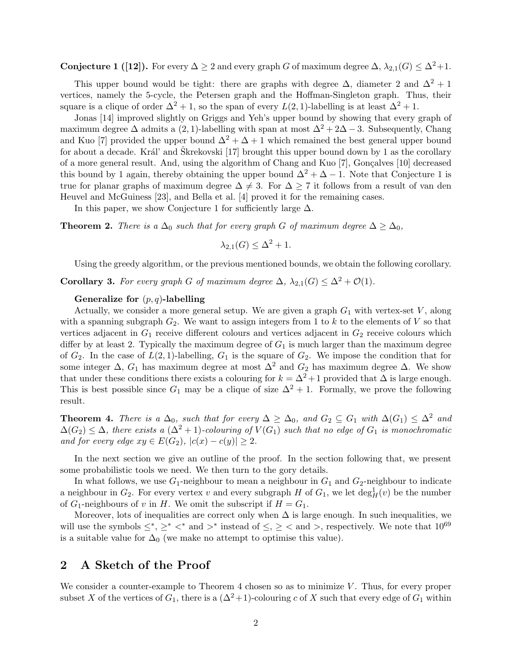**Conjecture 1 ([12]).** For every  $\Delta \geq 2$  and every graph G of maximum degree  $\Delta$ ,  $\lambda_{2,1}(G) \leq \Delta^2+1$ .

This upper bound would be tight: there are graphs with degree  $\Delta$ , diameter 2 and  $\Delta^2 + 1$ vertices, namely the 5-cycle, the Petersen graph and the Hoffman-Singleton graph. Thus, their square is a clique of order  $\Delta^2 + 1$ , so the span of every  $L(2, 1)$ -labelling is at least  $\Delta^2 + 1$ .

Jonas [14] improved slightly on Griggs and Yeh's upper bound by showing that every graph of maximum degree  $\Delta$  admits a (2, 1)-labelling with span at most  $\Delta^2 + 2\Delta - 3$ . Subsequently, Chang and Kuo [7] provided the upper bound  $\Delta^2 + \Delta + 1$  which remained the best general upper bound for about a decade. Král' and Škrekovski  $[17]$  brought this upper bound down by 1 as the corollary of a more general result. And, using the algorithm of Chang and Kuo [7], Gonçalves [10] decreased this bound by 1 again, thereby obtaining the upper bound  $\Delta^2 + \Delta - 1$ . Note that Conjecture 1 is true for planar graphs of maximum degree  $\Delta \neq 3$ . For  $\Delta \geq 7$  it follows from a result of van den Heuvel and McGuiness [23], and Bella et al. [4] proved it for the remaining cases.

In this paper, we show Conjecture 1 for sufficiently large  $\Delta$ .

**Theorem 2.** There is a  $\Delta_0$  such that for every graph G of maximum degree  $\Delta \geq \Delta_0$ ,

$$
\lambda_{2,1}(G) \le \Delta^2 + 1.
$$

Using the greedy algorithm, or the previous mentioned bounds, we obtain the following corollary.

**Corollary 3.** For every graph G of maximum degree  $\Delta$ ,  $\lambda_{2,1}(G) \leq \Delta^2 + \mathcal{O}(1)$ .

#### Generalize for  $(p, q)$ -labelling

Actually, we consider a more general setup. We are given a graph  $G_1$  with vertex-set V, along with a spanning subgraph  $G_2$ . We want to assign integers from 1 to k to the elements of V so that vertices adjacent in  $G_1$  receive different colours and vertices adjacent in  $G_2$  receive colours which differ by at least 2. Typically the maximum degree of  $G_1$  is much larger than the maximum degree of  $G_2$ . In the case of  $L(2,1)$ -labelling,  $G_1$  is the square of  $G_2$ . We impose the condition that for some integer  $\Delta$ ,  $G_1$  has maximum degree at most  $\Delta^2$  and  $G_2$  has maximum degree  $\Delta$ . We show that under these conditions there exists a colouring for  $k = \Delta^2 + 1$  provided that  $\Delta$  is large enough. This is best possible since  $G_1$  may be a clique of size  $\Delta^2 + 1$ . Formally, we prove the following result.

**Theorem 4.** There is a  $\Delta_0$ , such that for every  $\Delta \geq \Delta_0$ , and  $G_2 \subseteq G_1$  with  $\Delta(G_1) \leq \Delta^2$  and  $\Delta(G_2) \leq \Delta$ , there exists a  $(\Delta^2 + 1)$ -colouring of  $V(G_1)$  such that no edge of  $G_1$  is monochromatic and for every edge  $xy \in E(G_2)$ ,  $|c(x) - c(y)| \geq 2$ .

In the next section we give an outline of the proof. In the section following that, we present some probabilistic tools we need. We then turn to the gory details.

In what follows, we use  $G_1$ -neighbour to mean a neighbour in  $G_1$  and  $G_2$ -neighbour to indicate a neighbour in  $G_2$ . For every vertex v and every subgraph H of  $G_1$ , we let  $\deg^1_H(v)$  be the number of  $G_1$ -neighbours of v in H. We omit the subscript if  $H = G_1$ .

Moreover, lots of inequalities are correct only when  $\Delta$  is large enough. In such inequalities, we will use the symbols  $\leq^*, \geq^*$   $\lt^*$  and  $\gt^*$  instead of  $\leq, \geq \lt$  and  $\gt$ , respectively. We note that  $10^{69}$ is a suitable value for  $\Delta_0$  (we make no attempt to optimise this value).

### 2 A Sketch of the Proof

We consider a counter-example to Theorem 4 chosen so as to minimize  $V$ . Thus, for every proper subset X of the vertices of  $G_1$ , there is a  $(\Delta^2+1)$ -colouring c of X such that every edge of  $G_1$  within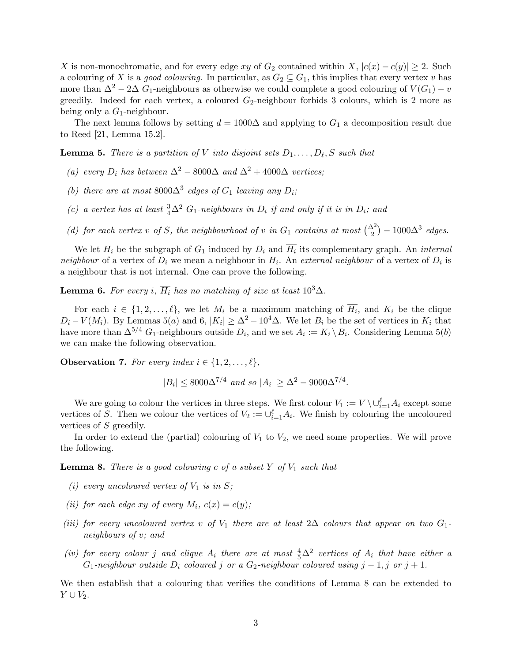X is non-monochromatic, and for every edge xy of  $G_2$  contained within X,  $|c(x) - c(y)| \geq 2$ . Such a colouring of X is a good colouring. In particular, as  $G_2 \subseteq G_1$ , this implies that every vertex v has more than  $\Delta^2 - 2\Delta G_1$ -neighbours as otherwise we could complete a good colouring of  $V(G_1) - v$ greedily. Indeed for each vertex, a coloured  $G_2$ -neighbour forbids 3 colours, which is 2 more as being only a  $G_1$ -neighbour.

The next lemma follows by setting  $d = 1000\Delta$  and applying to  $G_1$  a decomposition result due to Reed [21, Lemma 15.2].

**Lemma 5.** There is a partition of V into disjoint sets  $D_1, \ldots, D_\ell, S$  such that

- (a) every  $D_i$  has between  $\Delta^2 8000\Delta$  and  $\Delta^2 + 4000\Delta$  vertices;
- (b) there are at most  $8000\Delta^3$  edges of  $G_1$  leaving any  $D_i$ ;
- (c) a vertex has at least  $\frac{3}{4}\Delta^2$  G<sub>1</sub>-neighbours in  $D_i$  if and only if it is in  $D_i$ ; and
- (d) for each vertex v of S, the neighbourhood of v in  $G_1$  contains at most  $\binom{\Delta^2}{2} 1000\Delta^3$  edges.

We let  $H_i$  be the subgraph of  $G_1$  induced by  $D_i$  and  $H_i$  its complementary graph. An *internal* neighbour of a vertex of  $D_i$  we mean a neighbour in  $H_i$ . An external neighbour of a vertex of  $D_i$  is a neighbour that is not internal. One can prove the following.

**Lemma 6.** For every i,  $\overline{H_i}$  has no matching of size at least  $10^3\Delta$ .

For each  $i \in \{1, 2, \ldots, \ell\}$ , we let  $M_i$  be a maximum matching of  $\overline{H_i}$ , and  $K_i$  be the clique  $D_i - V(M_i)$ . By Lemmas 5(a) and 6,  $|K_i| \geq \Delta^2 - 10^4 \Delta$ . We let  $B_i$  be the set of vertices in  $K_i$  that have more than  $\Delta^{5/4}$  G<sub>1</sub>-neighbours outside  $D_i$ , and we set  $A_i := K_i \setminus B_i$ . Considering Lemma 5(b) we can make the following observation.

**Observation 7.** For every index  $i \in \{1, 2, \ldots, \ell\},\$ 

$$
|B_i| \leq 8000\Delta^{7/4}
$$
 and so  $|A_i| \geq \Delta^2 - 9000\Delta^{7/4}$ .

We are going to colour the vertices in three steps. We first colour  $V_1 := V \setminus \cup_{i=1}^{\ell} A_i$  except some vertices of S. Then we colour the vertices of  $V_2 := \bigcup_{i=1}^{\ell} A_i$ . We finish by colouring the uncoloured vertices of S greedily.

In order to extend the (partial) colouring of  $V_1$  to  $V_2$ , we need some properties. We will prove the following.

**Lemma 8.** There is a good colouring c of a subset Y of  $V_1$  such that

- (i) every uncoloured vertex of  $V_1$  is in  $S$ ;
- (ii) for each edge xy of every  $M_i$ ,  $c(x) = c(y)$ ;
- (iii) for every uncoloured vertex v of  $V_1$  there are at least 2∆ colours that appear on two  $G_1$ neighbours of v; and
- (iv) for every colour j and clique  $A_i$  there are at most  $\frac{4}{5}\Delta^2$  vertices of  $A_i$  that have either a  $G_1$ -neighbour outside  $D_i$  coloured j or a  $G_2$ -neighbour coloured using  $j-1, j$  or  $j+1$ .

We then establish that a colouring that verifies the conditions of Lemma 8 can be extended to  $Y \cup V_2$ .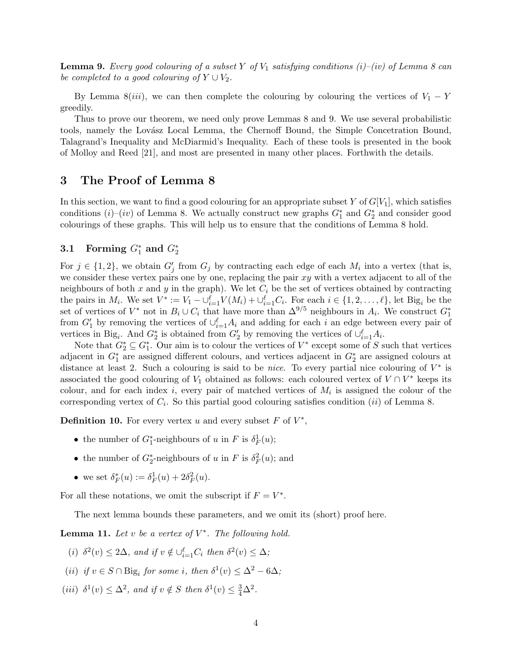**Lemma 9.** Every good colouring of a subset Y of  $V_1$  satisfying conditions (i)–(iv) of Lemma 8 can be completed to a good colouring of  $Y \cup V_2$ .

By Lemma 8(iii), we can then complete the colouring by colouring the vertices of  $V_1 - Y$ greedily.

Thus to prove our theorem, we need only prove Lemmas 8 and 9. We use several probabilistic tools, namely the Lovász Local Lemma, the Chernoff Bound, the Simple Concetration Bound, Talagrand's Inequality and McDiarmid's Inequality. Each of these tools is presented in the book of Molloy and Reed [21], and most are presented in many other places. Forthwith the details.

## 3 The Proof of Lemma 8

In this section, we want to find a good colouring for an appropriate subset Y of  $G[V_1]$ , which satisfies conditions  $(i)$ – $(iv)$  of Lemma 8. We actually construct new graphs  $G_1^*$  and  $G_2^*$  and consider good colourings of these graphs. This will help us to ensure that the conditions of Lemma 8 hold.

# 3.1 Forming  $G_1^*$  and  $G_2^*$

For  $j \in \{1,2\}$ , we obtain  $G'_j$  from  $G_j$  by contracting each edge of each  $M_i$  into a vertex (that is, we consider these vertex pairs one by one, replacing the pair  $xy$  with a vertex adjacent to all of the neighbours of both x and y in the graph). We let  $C_i$  be the set of vertices obtained by contracting the pairs in  $M_i$ . We set  $V^* := V_1 - \bigcup_{i=1}^{\ell} V(M_i) + \bigcup_{i=1}^{\ell} C_i$ . For each  $i \in \{1, 2, ..., \ell\}$ , let Big<sub>i</sub> be the set of vertices of  $V^*$  not in  $B_i \cup C_i$  that have more than  $\Delta^{9/5}$  neighbours in  $A_i$ . We construct  $G_1^*$ from  $G'_1$  by removing the vertices of  $\cup_{i=1}^{\ell} A_i$  and adding for each i an edge between every pair of vertices in Big<sub>i</sub>. And  $G_2^*$  is obtained from  $G_2'$  by removing the vertices of  $\cup_{i=1}^{\ell} A_i$ .

Note that  $G_2^* \subseteq G_1^*$ . Our aim is to colour the vertices of  $V^*$  except some of S such that vertices adjacent in  $G_1^*$  are assigned different colours, and vertices adjacent in  $G_2^*$  are assigned colours at distance at least 2. Such a colouring is said to be *nice*. To every partial nice colouring of  $V^*$  is associated the good colouring of  $V_1$  obtained as follows: each coloured vertex of  $V \cap V^*$  keeps its colour, and for each index i, every pair of matched vertices of  $M_i$  is assigned the colour of the corresponding vertex of  $C_i$ . So this partial good colouring satisfies condition (*ii*) of Lemma 8.

**Definition 10.** For every vertex u and every subset  $F$  of  $V^*$ ,

- the number of  $G_1^*$ -neighbours of u in F is  $\delta_F^1(u)$ ;
- the number of  $G_2^*$ -neighbours of u in F is  $\delta_F^2(u)$ ; and
- we set  $\delta_F^*(u) := \delta_F^1(u) + 2\delta_F^2(u)$ .

For all these notations, we omit the subscript if  $F = V^*$ .

The next lemma bounds these parameters, and we omit its (short) proof here.

**Lemma 11.** Let v be a vertex of  $V^*$ . The following hold.

- (i)  $\delta^2(v) \leq 2\Delta$ , and if  $v \notin \bigcup_{i=1}^{\ell} C_i$  then  $\delta^2(v) \leq \Delta$ ;
- (ii) if  $v \in S \cap \text{Big}_i$  for some i, then  $\delta^1(v) \leq \Delta^2 6\Delta$ ;
- (iii)  $\delta^1(v) \leq \Delta^2$ , and if  $v \notin S$  then  $\delta^1(v) \leq \frac{3}{4}\Delta^2$ .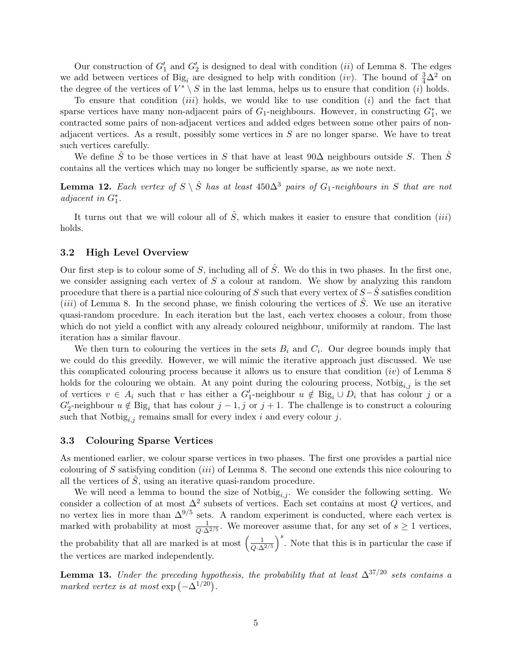Our construction of  $G_1'$  and  $G_2'$  is designed to deal with condition (*ii*) of Lemma 8. The edges we add between vertices of Big<sub>i</sub> are designed to help with condition (iv). The bound of  $\frac{3}{4}\Delta^2$  on the degree of the vertices of  $V^* \setminus S$  in the last lemma, helps us to ensure that condition (*i*) holds.

To ensure that condition *(iii)* holds, we would like to use condition *(i)* and the fact that sparse vertices have many non-adjacent pairs of  $G_1$ -neighbours. However, in constructing  $G_1^*$ , we contracted some pairs of non-adjacent vertices and added edges between some other pairs of nonadjacent vertices. As a result, possibly some vertices in  $S$  are no longer sparse. We have to treat such vertices carefully.

We define  $\hat{S}$  to be those vertices in S that have at least 90 $\Delta$  neighbours outside S. Then  $\hat{S}$ contains all the vertices which may no longer be sufficiently sparse, as we note next.

**Lemma 12.** Each vertex of  $S \setminus \hat{S}$  has at least 450 $\Delta^3$  pairs of  $G_1$ -neighbours in S that are not adjacent in  $G_1^*$ .

It turns out that we will colour all of  $\hat{S}$ , which makes it easier to ensure that condition (*iii*) holds.

### 3.2 High Level Overview

Our first step is to colour some of S, including all of  $\hat{S}$ . We do this in two phases. In the first one, we consider assigning each vertex of  $S$  a colour at random. We show by analyzing this random procedure that there is a partial nice colouring of S such that every vertex of  $S-\hat{S}$  satisfies condition (*iii*) of Lemma 8. In the second phase, we finish colouring the vertices of  $\hat{S}$ . We use an iterative quasi-random procedure. In each iteration but the last, each vertex chooses a colour, from those which do not yield a conflict with any already coloured neighbour, uniformily at random. The last iteration has a similar flavour.

We then turn to colouring the vertices in the sets  $B_i$  and  $C_i$ . Our degree bounds imply that we could do this greedily. However, we will mimic the iterative approach just discussed. We use this complicated colouring process because it allows us to ensure that condition  $(iv)$  of Lemma 8 holds for the colouring we obtain. At any point during the colouring process, Notbig<sub>i,j</sub> is the set of vertices  $v \in A_i$  such that v has either a  $G'_1$ -neighbour  $u \notin \text{Big}_i \cup D_i$  that has colour j or a  $G_2'$ -neighbour  $u \notin \text{Big}_i$  that has colour  $j-1, j$  or  $j+1$ . The challenge is to construct a colouring such that  $\text{Notbig}_{i,j}$  remains small for every index i and every colour j.

### 3.3 Colouring Sparse Vertices

As mentioned earlier, we colour sparse vertices in two phases. The first one provides a partial nice colouring of S satisfying condition *(iii)* of Lemma 8. The second one extends this nice colouring to all the vertices of  $\hat{S}$ , using an iterative quasi-random procedure.

We will need a lemma to bound the size of  $\text{Notbig}_{i,j}$ . We consider the following setting. We consider a collection of at most  $\Delta^2$  subsets of vertices. Each set contains at most Q vertices, and no vertex lies in more than  $\Delta^{9/5}$  sets. A random experiment is conducted, where each vertex is marked with probability at most  $\frac{1}{Q \cdot \Delta^{2/5}}$ . We moreover assume that, for any set of  $s \ge 1$  vertices, the probability that all are marked is at most  $\left(\frac{1}{\sqrt{\lambda}}\right)$  $Q$ ∙ $\Delta^{2/5}$  $\int_{0}^{s}$ . Note that this is in particular the case if the vertices are marked independently.

**Lemma 13.** Under the preceding hypothesis, the probability that at least  $\Delta^{37/20}$  sets contains a marked vertex is at most  $\exp(-\Delta^{1/20})$ .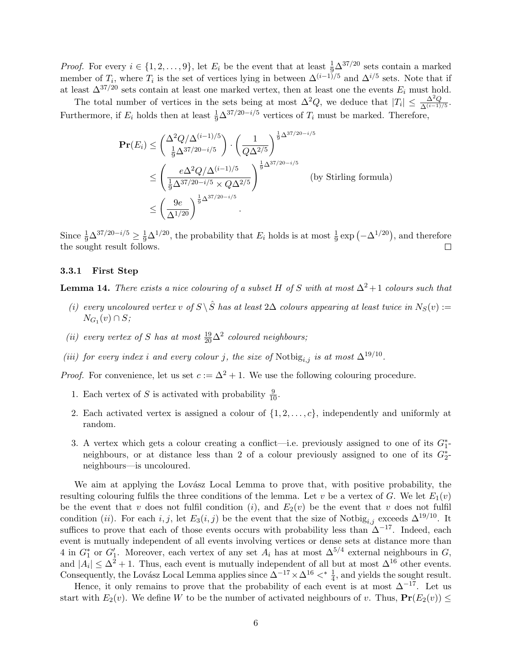*Proof.* For every  $i \in \{1, 2, ..., 9\}$ , let  $E_i$  be the event that at least  $\frac{1}{9}\Delta^{37/20}$  sets contain a marked member of  $T_i$ , where  $T_i$  is the set of vertices lying in between  $\Delta^{(i-1)/5}$  and  $\Delta^{i/5}$  sets. Note that if at least  $\Delta^{37/20}$  sets contain at least one marked vertex, then at least one the events  $E_i$  must hold.

The total number of vertices in the sets being at most  $\Delta^2 Q$ , we deduce that  $|T_i| \leq \frac{\Delta^2 Q}{\Delta^{(i-1)/5}}$ . Furthermore, if  $E_i$  holds then at least  $\frac{1}{9}\Delta^{37/20-i/5}$  vertices of  $T_i$  must be marked. Therefore,

$$
\mathbf{Pr}(E_i) \le \binom{\Delta^2 Q/\Delta^{(i-1)/5}}{\frac{1}{9}\Delta^{37/20 - i/5}} \cdot \left(\frac{1}{Q\Delta^{2/5}}\right)^{\frac{1}{9}\Delta^{37/20 - i/5}} \le \left(\frac{e\Delta^2 Q/\Delta^{(i-1)/5}}{\frac{1}{9}\Delta^{37/20 - i/5} \times Q\Delta^{2/5}}\right)^{\frac{1}{9}\Delta^{37/20 - i/5}} \quad \text{(by Stirling formula)} \le \left(\frac{9e}{\Delta^{1/20}}\right)^{\frac{1}{9}\Delta^{37/20 - i/5}}.
$$

Since  $\frac{1}{9}\Delta^{37/20-i/5} \ge \frac{1}{9}\Delta^{1/20}$ , the probability that  $E_i$  holds is at most  $\frac{1}{9}\exp(-\Delta^{1/20})$ , and therefore the sought result follows.  $\Box$ 

### 3.3.1 First Step

**Lemma 14.** There exists a nice colouring of a subset H of S with at most  $\Delta^2 + 1$  colours such that

- (i) every uncoloured vertex v of  $S \setminus \hat{S}$  has at least 2∆ colours appearing at least twice in  $N_S(v) :=$  $N_{G_1}(v) \cap S;$
- (ii) every vertex of S has at most  $\frac{19}{20}\Delta^2$  coloured neighbours;
- (iii) for every index i and every colour j, the size of Notbig<sub>i,j</sub> is at most  $\Delta^{19/10}$ .

*Proof.* For convenience, let us set  $c := \Delta^2 + 1$ . We use the following colouring procedure.

- 1. Each vertex of S is activated with probability  $\frac{9}{10}$ .
- 2. Each activated vertex is assigned a colour of  $\{1, 2, \ldots, c\}$ , independently and uniformly at random.
- 3. A vertex which gets a colour creating a conflict—i.e. previously assigned to one of its  $G_1^*$ neighbours, or at distance less than 2 of a colour previously assigned to one of its  $G_2^*$ neighbours—is uncoloured.

We aim at applying the Lovász Local Lemma to prove that, with positive probability, the resulting colouring fulfils the three conditions of the lemma. Let v be a vertex of G. We let  $E_1(v)$ be the event that v does not fulfil condition (i), and  $E_2(v)$  be the event that v does not fulfil condition (ii). For each i, j, let  $E_3(i, j)$  be the event that the size of Notbig<sub>i,j</sub> exceeds  $\Delta^{19/10}$ . It suffices to prove that each of those events occurs with probability less than  $\Delta^{-17}$ . Indeed, each event is mutually independent of all events involving vertices or dense sets at distance more than 4 in  $G_1^*$  or  $G_1'$ . Moreover, each vertex of any set  $A_i$  has at most  $\Delta^{5/4}$  external neighbours in  $G$ , and  $|A_i| \leq \Delta^2 + 1$ . Thus, each event is mutually independent of all but at most  $\Delta^{16}$  other events. Consequently, the Lovász Local Lemma applies since  $\Delta^{-17} \times \Delta^{16} \lt^* \frac{1}{4}$ , and yields the sought result.

Hence, it only remains to prove that the probability of each event is at most  $\Delta^{-17}$ . Let us start with  $E_2(v)$ . We define W to be the number of activated neighbours of v. Thus,  $Pr(E_2(v)) \le$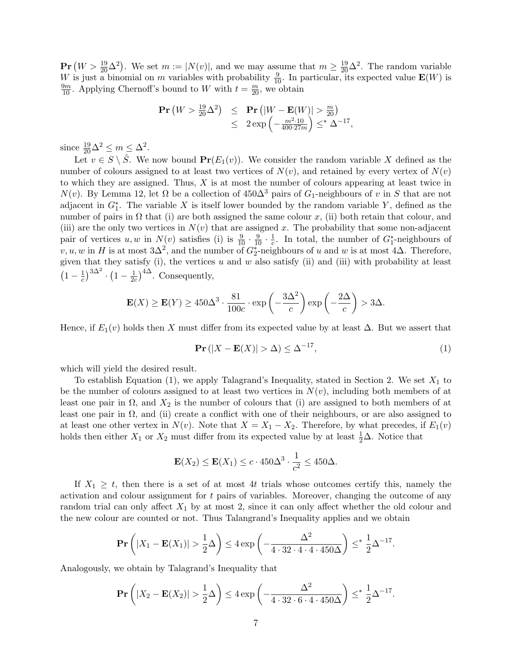$\mathbf{Pr}(W > \frac{19}{20} \Delta^2)$ . We set  $m := |N(v)|$ , and we may assume that  $m \geq \frac{19}{20} \Delta^2$ . The random variable W is just a binomial on m variables with probability  $\frac{9}{10}$ . In particular, its expected value  $\mathbf{E}(W)$  is  $\frac{9m}{10}$ . Applying Chernoff's bound to W with  $t = \frac{m}{20}$ , we obtain

$$
\begin{array}{rcl}\n\mathbf{Pr}\left(W > \frac{19}{20} \Delta^2\right) & \leq & \mathbf{Pr}\left(|W - \mathbf{E}(W)| > \frac{m}{20}\right) \\
& \leq & 2\exp\left(-\frac{m^2 \cdot 10}{400 \cdot 27m}\right) \leq^* \Delta^{-17},\n\end{array}
$$

since  $\frac{19}{20}\Delta^2 \le m \le \Delta^2$ .

Let  $v \in S \setminus \hat{S}$ . We now bound  $Pr(E_1(v))$ . We consider the random variable X defined as the number of colours assigned to at least two vertices of  $N(v)$ , and retained by every vertex of  $N(v)$ to which they are assigned. Thus,  $X$  is at most the number of colours appearing at least twice in  $N(v)$ . By Lemma 12, let  $\Omega$  be a collection of 450 $\Delta^3$  pairs of  $G_1$ -neighbours of v in S that are not adjacent in  $G_1^*$ . The variable X is itself lower bounded by the random variable Y, defined as the number of pairs in  $\Omega$  that (i) are both assigned the same colour x, (ii) both retain that colour, and (iii) are the only two vertices in  $N(v)$  that are assigned x. The probability that some non-adjacent pair of vertices  $u, w$  in  $N(v)$  satisfies (i) is  $\frac{9}{10} \cdot \frac{9}{10} \cdot \frac{1}{c}$  $\frac{1}{c}$ . In total, the number of  $G_1^*$ -neighbours of  $v, u, w$  in H is at most  $3\Delta^2$ , and the number of  $G_2^*$ -neighbours of u and w is at most  $4\Delta$ . Therefore, given that they satisfy (i), the vertices  $u$  and  $w$  also satisfy (ii) and (iii) with probability at least  $\left(1-\frac{1}{c}\right)$  $\left(\frac{1}{c}\right)^{3\Delta^2}\cdot\left(1-\frac{1}{2c}\right)$  $\frac{1}{2c}$ <sup>4 $\Delta$ </sup>. Consequently,

$$
\mathbf{E}(X) \ge \mathbf{E}(Y) \ge 450\Delta^3 \cdot \frac{81}{100c} \cdot \exp\left(-\frac{3\Delta^2}{c}\right) \exp\left(-\frac{2\Delta}{c}\right) > 3\Delta.
$$

Hence, if  $E_1(v)$  holds then X must differ from its expected value by at least  $\Delta$ . But we assert that

$$
\mathbf{Pr}\left(|X - \mathbf{E}(X)| > \Delta\right) \le \Delta^{-17},\tag{1}
$$

which will yield the desired result.

To establish Equation (1), we apply Talagrand's Inequality, stated in Section 2. We set  $X_1$  to be the number of colours assigned to at least two vertices in  $N(v)$ , including both members of at least one pair in  $\Omega$ , and  $X_2$  is the number of colours that (i) are assigned to both members of at least one pair in  $\Omega$ , and (ii) create a conflict with one of their neighbours, or are also assigned to at least one other vertex in  $N(v)$ . Note that  $X = X_1 - X_2$ . Therefore, by what precedes, if  $E_1(v)$ holds then either  $X_1$  or  $X_2$  must differ from its expected value by at least  $\frac{1}{2}\Delta$ . Notice that

$$
\mathbf{E}(X_2) \le \mathbf{E}(X_1) \le c \cdot 450\Delta^3 \cdot \frac{1}{c^2} \le 450\Delta.
$$

If  $X_1 \geq t$ , then there is a set of at most 4t trials whose outcomes certify this, namely the activation and colour assignment for t pairs of variables. Moreover, changing the outcome of any random trial can only affect  $X_1$  by at most 2, since it can only affect whether the old colour and the new colour are counted or not. Thus Talangrand's Inequality applies and we obtain

$$
\mathbf{Pr}\left(|X_1 - \mathbf{E}(X_1)| > \frac{1}{2}\Delta\right) \le 4\exp\left(-\frac{\Delta^2}{4 \cdot 32 \cdot 4 \cdot 4 \cdot 450\Delta}\right) \leq^* \frac{1}{2}\Delta^{-17}.
$$

Analogously, we obtain by Talagrand's Inequality that

$$
\mathbf{Pr}\left(|X_2 - \mathbf{E}(X_2)| > \frac{1}{2}\Delta\right) \le 4\exp\left(-\frac{\Delta^2}{4\cdot 32\cdot 6\cdot 4\cdot 450\Delta}\right) \leq^* \frac{1}{2}\Delta^{-17}.
$$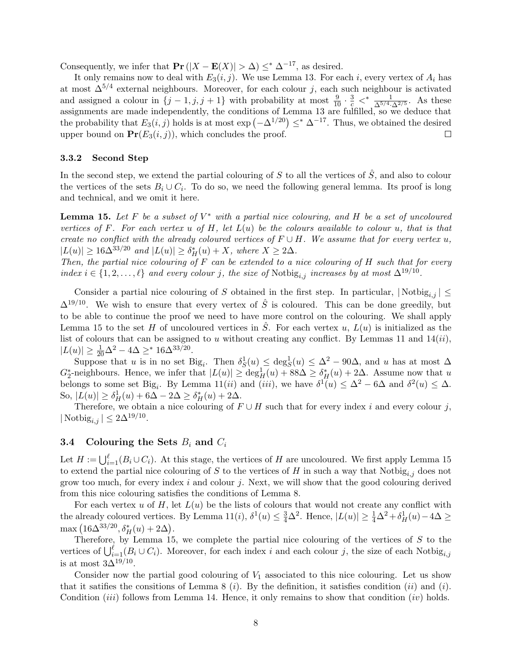Consequently, we infer that  $\Pr(|X - \mathbf{E}(X)| > \Delta) \leq^* \Delta^{-17}$ , as desired.

It only remains now to deal with  $E_3(i, j)$ . We use Lemma 13. For each i, every vertex of  $A_i$  has at most  $\Delta^{5/4}$  external neighbours. Moreover, for each colour j, each such neighbour is activated and assigned a colour in  $\{j-1,j,j+1\}$  with probability at most  $\frac{9}{10} \cdot \frac{3}{c} \lt^* \frac{1}{\Delta^{5/4}\cdot\Delta^{2/5}}$ . As these assignments are made independently, the conditions of Lemma 13 are fulfilled, so we deduce that the probability that  $E_3(i, j)$  holds is at most  $\exp(-\Delta^{1/20}) \leq^* \Delta^{-17}$ . Thus, we obtained the desired upper bound on  $Pr(E_3(i, j))$ , which concludes the proof.  $\Box$ 

### 3.3.2 Second Step

In the second step, we extend the partial colouring of S to all the vertices of  $\hat{S}$ , and also to colour the vertices of the sets  $B_i \cup C_i$ . To do so, we need the following general lemma. Its proof is long and technical, and we omit it here.

**Lemma 15.** Let F be a subset of  $V^*$  with a partial nice colouring, and H be a set of uncoloured vertices of F. For each vertex u of H, let  $L(u)$  be the colours available to colour u, that is that create no conflict with the already coloured vertices of  $F \cup H$ . We assume that for every vertex u,  $|L(u)| \geq 16\Delta^{33/20}$  and  $|L(u)| \geq \delta_H^*(u) + X$ , where  $X \geq 2\Delta$ .

Then, the partial nice colouring of  $F$  can be extended to a nice colouring of  $H$  such that for every index  $i \in \{1, 2, \ldots, \ell\}$  and every colour j, the size of Notbig<sub>i,j</sub> increases by at most  $\Delta^{19/10}$ .

Consider a partial nice colouring of S obtained in the first step. In particular,  $|\text{Notbig}_{i,j}| \leq$  $\Delta^{19/10}$ . We wish to ensure that every vertex of  $\hat{S}$  is coloured. This can be done greedily, but to be able to continue the proof we need to have more control on the colouring. We shall apply Lemma 15 to the set H of uncoloured vertices in  $\tilde{S}$ . For each vertex u,  $L(u)$  is initialized as the list of colours that can be assigned to u without creating any conflict. By Lemmas 11 and  $14(ii)$ ,  $|L(u)| \ge \frac{1}{20}\Delta^2 - 4\Delta \ge^* 16\Delta^{33/20}.$ 

Suppose that u is in no set Big<sub>i</sub>. Then  $\delta_S^1(u) \leq \deg_S^1(u) \leq \Delta^2 - 90\Delta$ , and u has at most  $\Delta$  $G_2^*$ -neighbours. Hence, we infer that  $|L(u)| \ge \deg_H^1(u) + 88\Delta \ge \delta_H^*(u) + 2\Delta$ . Assume now that u belongs to some set Big<sub>i</sub>. By Lemma 11(*ii*) and (*iii*), we have  $\delta^{\mathcal{I}}(u) \leq \Delta^2 - 6\Delta$  and  $\delta^2(u) \leq \Delta$ . So,  $|L(u)| \ge \delta_H^1(u) + 6\Delta - 2\Delta \ge \delta_H^*(u) + 2\Delta$ .

Therefore, we obtain a nice colouring of  $F \cup H$  such that for every index i and every colour j,  $|\operatorname{Notbig}_{i,j}| \leq 2\Delta^{19/10}.$ 

### **3.4** Colouring the Sets  $B_i$  and  $C_i$

Let  $H := \bigcup_{i=1}^{\ell} (B_i \cup C_i)$ . At this stage, the vertices of H are uncoloured. We first apply Lemma 15 to extend the partial nice colouring of S to the vertices of H in such a way that  $\text{Notbig}_{i,j}$  does not grow too much, for every index  $i$  and colour  $j$ . Next, we will show that the good colouring derived from this nice colouring satisfies the conditions of Lemma 8.

For each vertex u of  $H$ , let  $L(u)$  be the lists of colours that would not create any conflict with the already coloured vertices. By Lemma 11(*i*),  $\delta^1(u) \leq \frac{3}{4}\Delta^2$ . Hence,  $|L(u)| \geq \frac{1}{4}\Delta^2 + \delta^1_H(u) - 4\Delta \geq$ max  $(16\Delta^{33/20}, \delta_H^*(u) + 2\Delta).$ 

Therefore, by Lemma 15, we complete the partial nice colouring of the vertices of  $S$  to the vertices of  $\bigcup_{i=1}^{\ell} (B_i \cup C_i)$ . Moreover, for each index i and each colour j, the size of each Notbig<sub>i,j</sub> is at most  $3\Delta^{19/10}$ .

Consider now the partial good colouring of  $V_1$  associated to this nice colouring. Let us show that it satifies the consitions of Lemma 8 (*i*). By the definition, it satisfies condition (*ii*) and (*i*). Condition *(iii)* follows from Lemma 14. Hence, it only remains to show that condition *(iv)* holds.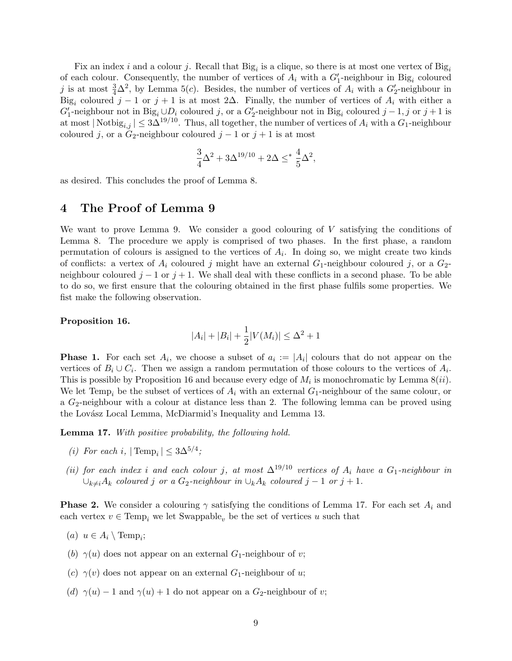Fix an index i and a colour j. Recall that  $\text{Big}_i$  is a clique, so there is at most one vertex of  $\text{Big}_i$ of each colour. Consequently, the number of vertices of  $A_i$  with a  $G'_1$ -neighbour in Big<sub>i</sub> coloured j is at most  $\frac{3}{4}\Delta^2$ , by Lemma 5(c). Besides, the number of vertices of  $A_i$  with a  $G_2'$ -neighbour in Big<sub>i</sub> coloured  $j-1$  or  $j+1$  is at most 2 $\Delta$ . Finally, the number of vertices of  $A_i$  with either a  $G_1'$ -neighbour not in Big<sub>i</sub> ∪ $D_i$  coloured j, or a  $G_2'$ -neighbour not in Big<sub>i</sub> coloured j – 1, j or j + 1 is at most  $|\text{Notbig}_{i,j}| \leq 3\Delta^{19/10}$ . Thus, all together, the number of vertices of  $A_i$  with a  $G_1$ -neighbour coloured j, or a  $G_2$ -neighbour coloured j – 1 or j + 1 is at most

$$
\frac{3}{4}\Delta^2 + 3\Delta^{19/10} + 2\Delta \leq^* \frac{4}{5}\Delta^2,
$$

as desired. This concludes the proof of Lemma 8.

## 4 The Proof of Lemma 9

We want to prove Lemma 9. We consider a good colouring of  $V$  satisfying the conditions of Lemma 8. The procedure we apply is comprised of two phases. In the first phase, a random permutation of colours is assigned to the vertices of  $A_i$ . In doing so, we might create two kinds of conflicts: a vertex of  $A_i$  coloured j might have an external  $G_1$ -neighbour coloured j, or a  $G_2$ neighbour coloured  $j - 1$  or  $j + 1$ . We shall deal with these conflicts in a second phase. To be able to do so, we first ensure that the colouring obtained in the first phase fulfils some properties. We fist make the following observation.

### Proposition 16.

$$
|A_i| + |B_i| + \frac{1}{2}|V(M_i)| \le \Delta^2 + 1
$$

**Phase 1.** For each set  $A_i$ , we choose a subset of  $a_i := |A_i|$  colours that do not appear on the vertices of  $B_i \cup C_i$ . Then we assign a random permutation of those colours to the vertices of  $A_i$ . This is possible by Proposition 16 and because every edge of  $M_i$  is monochromatic by Lemma  $8(ii)$ . We let Temp<sub>i</sub> be the subset of vertices of  $A_i$  with an external  $G_1$ -neighbour of the same colour, or a  $G_2$ -neighbour with a colour at distance less than 2. The following lemma can be proved using the Lovász Local Lemma, McDiarmid's Inequality and Lemma 13.

Lemma 17. With positive probability, the following hold.

- (i) For each i,  $|\text{Temp}_i| \leq 3\Delta^{5/4}$ ;
- (ii) for each index i and each colour j, at most  $\Delta^{19/10}$  vertices of  $A_i$  have a  $G_1$ -neighbour in  $\cup_{k\neq i}A_k$  coloured j or a G<sub>2</sub>-neighbour in  $\cup_kA_k$  coloured j – 1 or j + 1.

**Phase 2.** We consider a colouring  $\gamma$  satisfying the conditions of Lemma 17. For each set  $A_i$  and each vertex  $v \in \text{Temp}_i$  we let Swappable<sub>v</sub> be the set of vertices u such that

- (a)  $u \in A_i \setminus \text{Temp}_i;$
- (b)  $\gamma(u)$  does not appear on an external  $G_1$ -neighbour of v;
- (c)  $\gamma(v)$  does not appear on an external  $G_1$ -neighbour of u;
- (d)  $\gamma(u) 1$  and  $\gamma(u) + 1$  do not appear on a  $G_2$ -neighbour of v;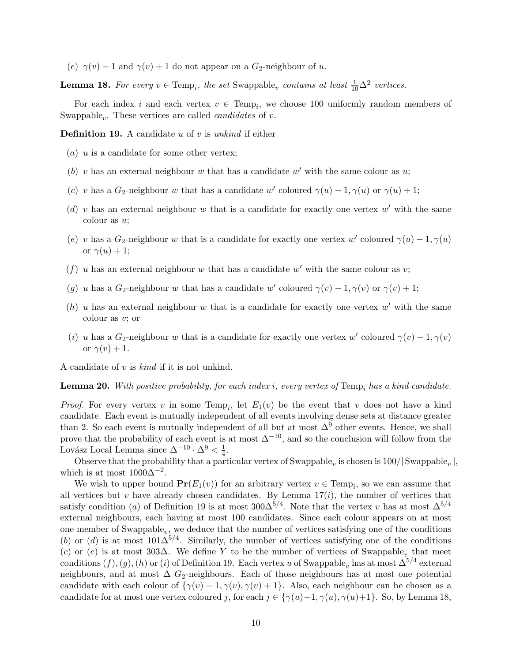(e)  $\gamma(v) - 1$  and  $\gamma(v) + 1$  do not appear on a  $G_2$ -neighbour of u.

**Lemma 18.** For every  $v \in \text{Temp}_i$ , the set Swappable<sub>v</sub> contains at least  $\frac{1}{10}\Delta^2$  vertices.

For each index i and each vertex  $v \in \text{Temp}_i$ , we choose 100 uniformly random members of Swappable<sub>v</sub>. These vertices are called *candidates* of v.

**Definition 19.** A candidate u of v is unkind if either

- $(a)$  u is a candidate for some other vertex;
- (b) v has an external neighbour w that has a candidate  $w'$  with the same colour as u;
- (c) v has a  $G_2$ -neighbour w that has a candidate w' coloured  $\gamma(u) 1, \gamma(u)$  or  $\gamma(u) + 1$ ;
- (d) v has an external neighbour w that is a candidate for exactly one vertex  $w'$  with the same colour as u;
- (e) v has a  $G_2$ -neighbour w that is a candidate for exactly one vertex w' coloured  $\gamma(u) 1, \gamma(u)$ or  $\gamma(u) + 1$ ;
- (f) u has an external neighbour w that has a candidate  $w'$  with the same colour as v;
- (g) u has a  $G_2$ -neighbour w that has a candidate w' coloured  $\gamma(v) 1, \gamma(v)$  or  $\gamma(v) + 1$ ;
- (h) u has an external neighbour w that is a candidate for exactly one vertex  $w'$  with the same colour as v; or
- (i) u has a  $G_2$ -neighbour w that is a candidate for exactly one vertex w' coloured  $\gamma(v) 1, \gamma(v)$ or  $\gamma(v) + 1$ .

A candidate of  $v$  is  $kind$  if it is not unkind.

**Lemma 20.** With positive probability, for each index i, every vertex of  $Temp_i$  has a kind candidate.

*Proof.* For every vertex v in some Temp<sub>i</sub>, let  $E_1(v)$  be the event that v does not have a kind candidate. Each event is mutually independent of all events involving dense sets at distance greater than 2. So each event is mutually independent of all but at most  $\Delta^9$  other events. Hence, we shall prove that the probability of each event is at most  $\Delta^{-10}$ , and so the conclusion will follow from the Lovász Local Lemma since  $\Delta^{-10} \cdot \Delta^9 < \frac{1}{4}$  $\frac{1}{4}$ .

Observe that the probability that a particular vertex of  $\text{Swapable}_v$  is chosen is  $100/|\text{Swapable}_v|$ , which is at most  $1000\Delta^{-2}$ .

We wish to upper bound  $Pr(E_1(v))$  for an arbitrary vertex  $v \in Temp_i$ , so we can assume that all vertices but v have already chosen candidates. By Lemma  $17(i)$ , the number of vertices that satisfy condition (a) of Definition 19 is at most  $300\Delta^{5/4}$ . Note that the vertex v has at most  $\Delta^{5/4}$ external neighbours, each having at most 100 candidates. Since each colour appears on at most one member of Swappable<sub>v</sub>, we deduce that the number of vertices satisfying one of the conditions (b) or (d) is at most  $101\Delta^{5/4}$ . Similarly, the number of vertices satisfying one of the conditions (c) or (e) is at most 303 $\Delta$ . We define Y to be the number of vertices of Swappable<sub>v</sub> that meet conditions  $(f)$ ,  $(g)$ ,  $(h)$  or  $(i)$  of Definition 19. Each vertex u of Swappable<sub>v</sub> has at most  $\Delta^{5/4}$  external neighbours, and at most  $\Delta G_2$ -neighbours. Each of those neighbours has at most one potential candidate with each colour of  $\{\gamma(v) - 1, \gamma(v), \gamma(v) + 1\}$ . Also, each neighbour can be chosen as a candidate for at most one vertex coloured j, for each  $j \in \{\gamma(u)-1, \gamma(u), \gamma(u)+1\}$ . So, by Lemma 18,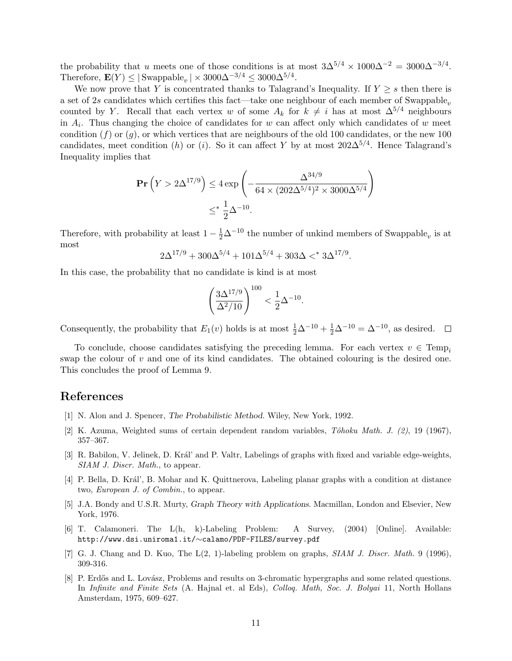the probability that u meets one of those conditions is at most  $3\Delta^{5/4} \times 1000\Delta^{-2} = 3000\Delta^{-3/4}$ . Therefore,  $\mathbf{E}(Y) \leq |\text{Swapable}_v| \times 3000\Delta^{-3/4} \leq 3000\Delta^{5/4}$ .

We now prove that Y is concentrated thanks to Talagrand's Inequality. If  $Y \geq s$  then there is a set of 2s candidates which certifies this fact—take one neighbour of each member of Swappable<sub>v</sub> counted by Y. Recall that each vertex w of some  $A_k$  for  $k \neq i$  has at most  $\Delta^{5/4}$  neighbours in  $A_i$ . Thus changing the choice of candidates for w can affect only which candidates of w meet condition  $(f)$  or  $(q)$ , or which vertices that are neighbours of the old 100 candidates, or the new 100 candidates, meet condition (h) or (i). So it can affect Y by at most  $202\Delta^{5/4}$ . Hence Talagrand's Inequality implies that

$$
\mathbf{Pr}\left(Y > 2\Delta^{17/9}\right) \le 4 \exp\left(-\frac{\Delta^{34/9}}{64 \times (202\Delta^{5/4})^2 \times 3000\Delta^{5/4}}\right)
$$
  

$$
\le^* \frac{1}{2}\Delta^{-10}.
$$

Therefore, with probability at least  $1 - \frac{1}{2}\Delta^{-10}$  the number of unkind members of Swappable<sub>v</sub> is at most

$$
2\Delta^{17/9} + 300\Delta^{5/4} + 101\Delta^{5/4} + 303\Delta <^* 3\Delta^{17/9}.
$$

In this case, the probability that no candidate is kind is at most

$$
\left(\frac{3\Delta^{17/9}}{\Delta^2/10}\right)^{100} < \frac{1}{2}\Delta^{-10}.
$$

Consequently, the probability that  $E_1(v)$  holds is at most  $\frac{1}{2}\Delta^{-10} + \frac{1}{2}\Delta^{-10} = \Delta^{-10}$ , as desired.

To conclude, choose candidates satisfying the preceding lemma. For each vertex  $v \in \text{Temp}_i$ swap the colour of  $v$  and one of its kind candidates. The obtained colouring is the desired one. This concludes the proof of Lemma 9.

## References

- [1] N. Alon and J. Spencer, The Probabilistic Method. Wiley, New York, 1992.
- [2] K. Azuma, Weighted sums of certain dependent random variables,  $T\delta hoku Math. J. (2), 19 (1967),$ 357–367.
- [3] R. Babilon, V. Jelinek, D. Král' and P. Valtr, Labelings of graphs with fixed and variable edge-weights, SIAM J. Discr. Math., to appear.
- [4] P. Bella, D. Král', B. Mohar and K. Quittnerova, Labeling planar graphs with a condition at distance two, European J. of Combin., to appear.
- [5] J.A. Bondy and U.S.R. Murty, Graph Theory with Applications. Macmillan, London and Elsevier, New York, 1976.
- [6] T. Calamoneri. The L(h, k)-Labeling Problem: A Survey, (2004) [Online]. Available: http://www.dsi.uniroma1.it/∼calamo/PDF-FILES/survey.pdf
- [7] G. J. Chang and D. Kuo, The L(2, 1)-labeling problem on graphs, SIAM J. Discr. Math. 9 (1996), 309-316.
- [8] P. Erdős and L. Lovász, Problems and results on 3-chromatic hypergraphs and some related questions. In Infinite and Finite Sets (A. Hajnal et. al Eds), Colloq. Math, Soc. J. Bolyai 11, North Hollans Amsterdam, 1975, 609–627.